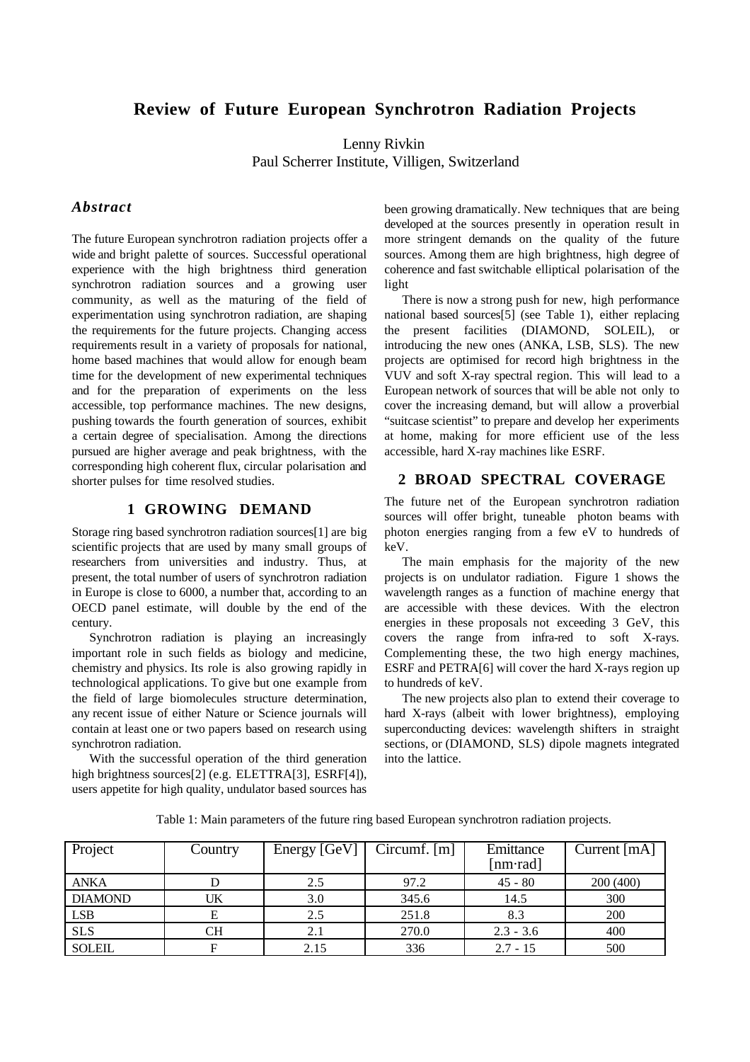# **Review of Future European Synchrotron Radiation Projects**

Lenny Rivkin Paul Scherrer Institute, Villigen, Switzerland

## *Abstract*

The future European synchrotron radiation projects offer a wide and bright palette of sources. Successful operational experience with the high brightness third generation synchrotron radiation sources and a growing user community, as well as the maturing of the field of experimentation using synchrotron radiation, are shaping the requirements for the future projects. Changing access requirements result in a variety of proposals for national, home based machines that would allow for enough beam time for the development of new experimental techniques and for the preparation of experiments on the less accessible, top performance machines. The new designs, pushing towards the fourth generation of sources, exhibit a certain degree of specialisation. Among the directions pursued are higher average and peak brightness, with the corresponding high coherent flux, circular polarisation and shorter pulses for time resolved studies.

## **1 GROWING DEMAND**

Storage ring based synchrotron radiation sources[1] are big scientific projects that are used by many small groups of researchers from universities and industry. Thus, at present, the total number of users of synchrotron radiation in Europe is close to 6000, a number that, according to an OECD panel estimate, will double by the end of the century.

Synchrotron radiation is playing an increasingly important role in such fields as biology and medicine, chemistry and physics. Its role is also growing rapidly in technological applications. To give but one example from the field of large biomolecules structure determination, any recent issue of either Nature or Science journals will contain at least one or two papers based on research using synchrotron radiation.

With the successful operation of the third generation high brightness sources<sup>[2]</sup> (e.g. ELETTRA<sup>[3]</sup>, ESRF<sup>[4]</sup>), users appetite for high quality, undulator based sources has been growing dramatically. New techniques that are being developed at the sources presently in operation result in more stringent demands on the quality of the future sources. Among them are high brightness, high degree of coherence and fast switchable elliptical polarisation of the light

There is now a strong push for new, high performance national based sources[5] (see Table 1), either replacing the present facilities (DIAMOND, SOLEIL), or introducing the new ones (ANKA, LSB, SLS). The new projects are optimised for record high brightness in the VUV and soft X-ray spectral region. This will lead to a European network of sources that will be able not only to cover the increasing demand, but will allow a proverbial "suitcase scientist" to prepare and develop her experiments at home, making for more efficient use of the less accessible, hard X-ray machines like ESRF.

## **2 BROAD SPECTRAL COVERAGE**

The future net of the European synchrotron radiation sources will offer bright, tuneable photon beams with photon energies ranging from a few eV to hundreds of keV.

The main emphasis for the majority of the new projects is on undulator radiation. Figure 1 shows the wavelength ranges as a function of machine energy that are accessible with these devices. With the electron energies in these proposals not exceeding 3 GeV, this covers the range from infra-red to soft X-rays. Complementing these, the two high energy machines, ESRF and PETRA[6] will cover the hard X-rays region up to hundreds of keV.

The new projects also plan to extend their coverage to hard X-rays (albeit with lower brightness), employing superconducting devices: wavelength shifters in straight sections, or (DIAMOND, SLS) dipole magnets integrated into the lattice.

| Project        | Country | Energy [GeV] | $Circumf.$ [m] | Emittance         | Current $[mA]$ |
|----------------|---------|--------------|----------------|-------------------|----------------|
|                |         |              |                | $[nm\text{-}rad]$ |                |
| <b>ANKA</b>    |         | 2.5          | 97.2           | $45 - 80$         | 200(400)       |
| <b>DIAMOND</b> | UK      | 3.0          | 345.6          | 14.5              | 300            |
| <b>LSB</b>     | Е       | 2.5          | 251.8          | 8.3               | 200            |
| <b>SLS</b>     | CН      | 2.1          | 270.0          | $2.3 - 3.6$       | 400            |
| <b>SOLEIL</b>  | F       | 2.15         | 336            | $2.7 - 15$        | 500            |

Table 1: Main parameters of the future ring based European synchrotron radiation projects.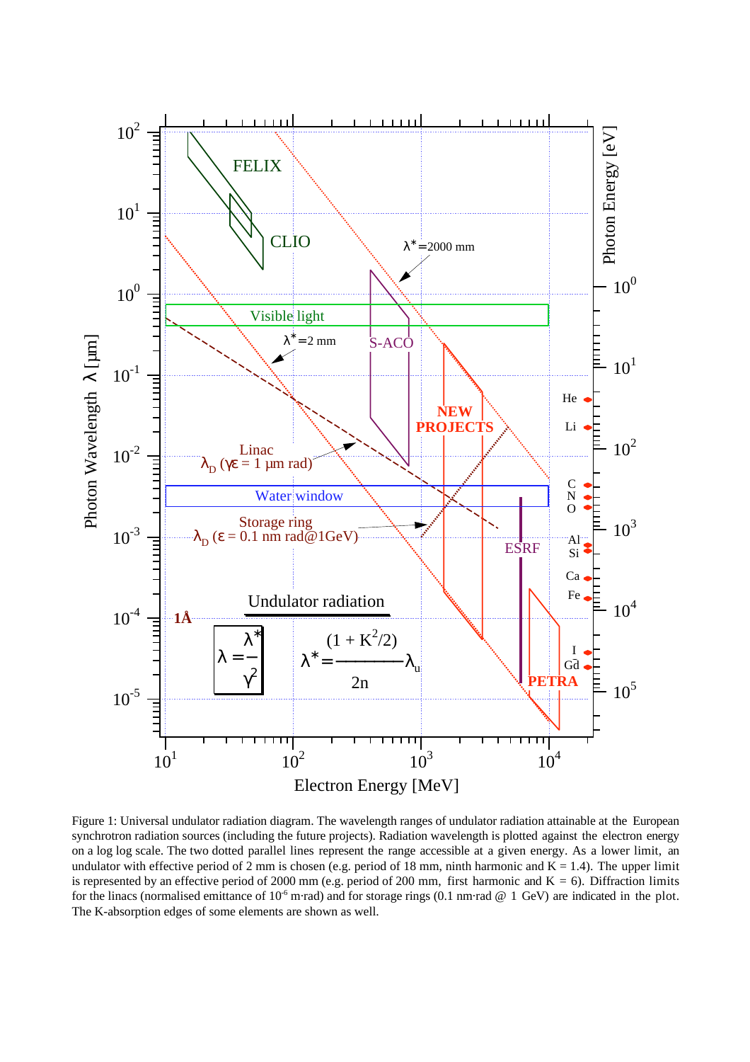

Figure 1: Universal undulator radiation diagram. The wavelength ranges of undulator radiation attainable at the European synchrotron radiation sources (including the future projects). Radiation wavelength is plotted against the electron energy on a log log scale. The two dotted parallel lines represent the range accessible at a given energy. As a lower limit, an undulator with effective period of 2 mm is chosen (e.g. period of 18 mm, ninth harmonic and  $K = 1.4$ ). The upper limit is represented by an effective period of 2000 mm (e.g. period of 200 mm, first harmonic and  $K = 6$ ). Diffraction limits for the linacs (normalised emittance of  $10^{-6}$  m·rad) and for storage rings (0.1 nm·rad @ 1 GeV) are indicated in the plot. The K-absorption edges of some elements are shown as well.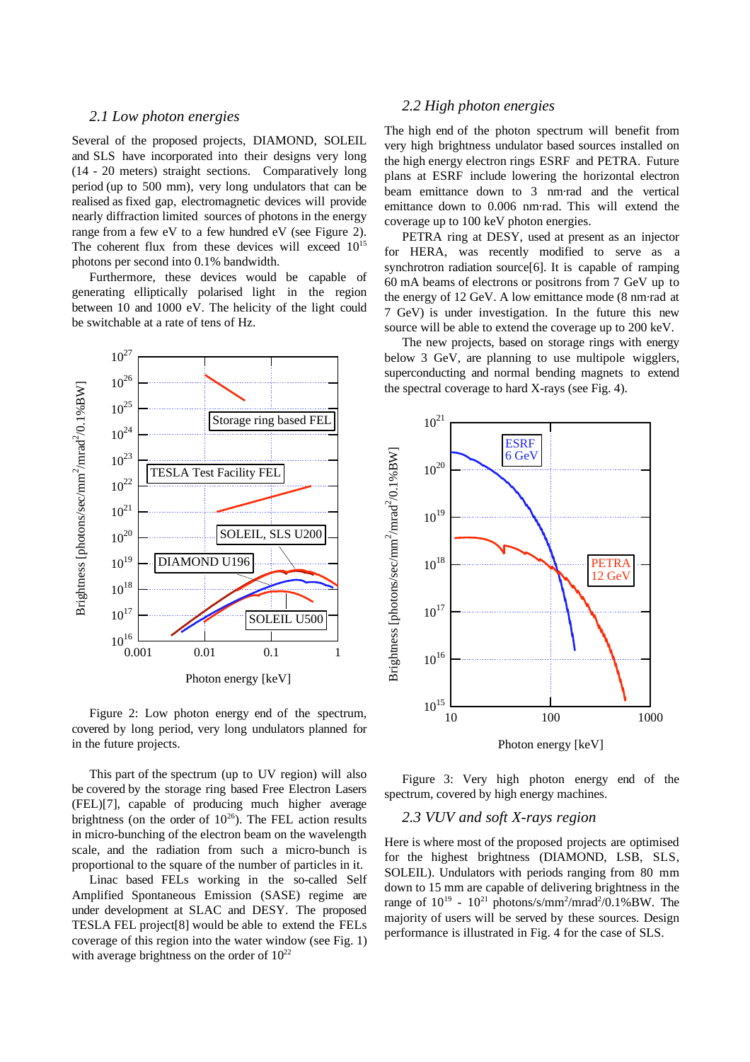#### *2.1 Low photon energies*

Several of the proposed projects, DIAMOND, SOLEIL and SLS have incorporated into their designs very long (14 - 20 meters) straight sections. Comparatively long period (up to 500 mm), very long undulators that can be realised as fixed gap, electromagnetic devices will provide nearly diffraction limited sources of photons in the energy range from a few eV to a few hundred eV (see Figure 2). The coherent flux from these devices will exceed  $10^{15}$ photons per second into 0.1% bandwidth.

Furthermore, these devices would be capable of generating elliptically polarised light in the region between 10 and 1000 eV. The helicity of the light could be switchable at a rate of tens of Hz.



Figure 2: Low photon energy end of the spectrum, covered by long period, very long undulators planned for in the future projects.

This part of the spectrum (up to UV region) will also be covered by the storage ring based Free Electron Lasers (FEL)[7], capable of producing much higher average brightness (on the order of  $10^{26}$ ). The FEL action results in micro-bunching of the electron beam on the wavelength scale, and the radiation from such a micro-bunch is proportional to the square of the number of particles in it.

Linac based FELs working in the so-called Self Amplified Spontaneous Emission (SASE) regime are under development at SLAC and DESY. The proposed TESLA FEL project[8] would be able to extend the FELs coverage of this region into the water window (see Fig. 1) with average brightness on the order of  $10^{22}$ 

## *2.2 High photon energies*

The high end of the photon spectrum will benefit from very high brightness undulator based sources installed on the high energy electron rings ESRF and PETRA. Future plans at ESRF include lowering the horizontal electron beam emittance down to 3 nm·rad and the vertical emittance down to 0.006 nm·rad. This will extend the coverage up to 100 keV photon energies.

PETRA ring at DESY, used at present as an injector for HERA, was recently modified to serve as a synchrotron radiation source[6]. It is capable of ramping 60 mA beams of electrons or positrons from 7 GeV up to the energy of 12 GeV. A low emittance mode (8 nm·rad at 7 GeV) is under investigation. In the future this new source will be able to extend the coverage up to 200 keV.

The new projects, based on storage rings with energy below 3 GeV, are planning to use multipole wigglers, superconducting and normal bending magnets to extend the spectral coverage to hard X-rays (see Fig. 4).



Figure 3: Very high photon energy end of the spectrum, covered by high energy machines.

#### *2.3 VUV and soft X-rays region*

Here is where most of the proposed projects are optimised for the highest brightness (DIAMOND, LSB, SLS, SOLEIL). Undulators with periods ranging from 80 mm down to 15 mm are capable of delivering brightness in the range of  $10^{19}$  -  $10^{21}$  photons/s/mm<sup>2</sup>/mrad<sup>2</sup>/0.1%BW. The majority of users will be served by these sources. Design performance is illustrated in Fig. 4 for the case of SLS.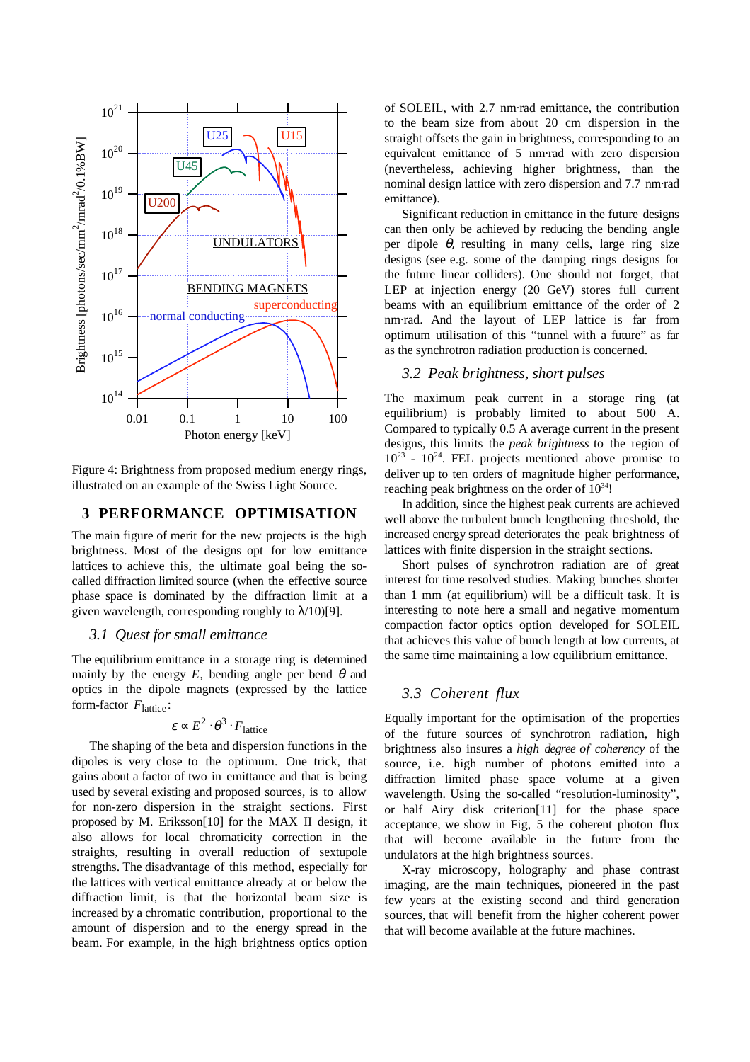

Figure 4: Brightness from proposed medium energy rings, illustrated on an example of the Swiss Light Source.

### **3 PERFORMANCE OPTIMISATION**

The main figure of merit for the new projects is the high brightness. Most of the designs opt for low emittance lattices to achieve this, the ultimate goal being the socalled diffraction limited source (when the effective source phase space is dominated by the diffraction limit at a given wavelength, corresponding roughly to  $\lambda$ /10)[9].

#### *3.1 Quest for small emittance*

The equilibrium emittance in a storage ring is determined mainly by the energy  $E$ , bending angle per bend  $\theta$  and optics in the dipole magnets (expressed by the lattice form-factor  $F_{\text{lattice}}$ :

$$
\varepsilon \propto E^2 \cdot \theta^3 \cdot F_{\text{lattice}}
$$

The shaping of the beta and dispersion functions in the dipoles is very close to the optimum. One trick, that gains about a factor of two in emittance and that is being used by several existing and proposed sources, is to allow for non-zero dispersion in the straight sections. First proposed by M. Eriksson[10] for the MAX II design, it also allows for local chromaticity correction in the straights, resulting in overall reduction of sextupole strengths. The disadvantage of this method, especially for the lattices with vertical emittance already at or below the diffraction limit, is that the horizontal beam size is increased by a chromatic contribution, proportional to the amount of dispersion and to the energy spread in the beam. For example, in the high brightness optics option of SOLEIL, with 2.7 nm·rad emittance, the contribution to the beam size from about 20 cm dispersion in the straight offsets the gain in brightness, corresponding to an equivalent emittance of 5 nm·rad with zero dispersion (nevertheless, achieving higher brightness, than the nominal design lattice with zero dispersion and 7.7 nm·rad emittance).

Significant reduction in emittance in the future designs can then only be achieved by reducing the bending angle per dipole  $\theta$ , resulting in many cells, large ring size designs (see e.g. some of the damping rings designs for the future linear colliders). One should not forget, that LEP at injection energy (20 GeV) stores full current beams with an equilibrium emittance of the order of 2 nm·rad. And the layout of LEP lattice is far from optimum utilisation of this "tunnel with a future" as far as the synchrotron radiation production is concerned.

#### *3.2 Peak brightness, short pulses*

The maximum peak current in a storage ring (at equilibrium) is probably limited to about 500 A. Compared to typically 0.5 A average current in the present designs, this limits the *peak brightness* to the region of  $10^{23}$  -  $10^{24}$ . FEL projects mentioned above promise to deliver up to ten orders of magnitude higher performance, reaching peak brightness on the order of  $10^{34}$ !

In addition, since the highest peak currents are achieved well above the turbulent bunch lengthening threshold, the increased energy spread deteriorates the peak brightness of lattices with finite dispersion in the straight sections.

Short pulses of synchrotron radiation are of great interest for time resolved studies. Making bunches shorter than 1 mm (at equilibrium) will be a difficult task. It is interesting to note here a small and negative momentum compaction factor optics option developed for SOLEIL that achieves this value of bunch length at low currents, at the same time maintaining a low equilibrium emittance.

## *3.3 Coherent flux*

Equally important for the optimisation of the properties of the future sources of synchrotron radiation, high brightness also insures a *high degree of coherency* of the source, i.e. high number of photons emitted into a diffraction limited phase space volume at a given wavelength. Using the so-called "resolution-luminosity", or half Airy disk criterion[11] for the phase space acceptance, we show in Fig, 5 the coherent photon flux that will become available in the future from the undulators at the high brightness sources.

X-ray microscopy, holography and phase contrast imaging, are the main techniques, pioneered in the past few years at the existing second and third generation sources, that will benefit from the higher coherent power that will become available at the future machines.